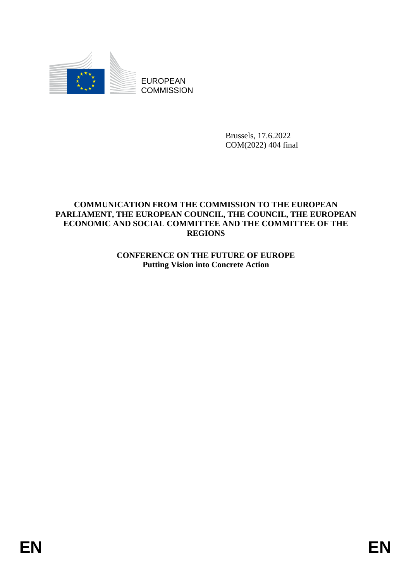

EUROPEAN **COMMISSION** 

> Brussels, 17.6.2022 COM(2022) 404 final

#### **COMMUNICATION FROM THE COMMISSION TO THE EUROPEAN PARLIAMENT, THE EUROPEAN COUNCIL, THE COUNCIL, THE EUROPEAN ECONOMIC AND SOCIAL COMMITTEE AND THE COMMITTEE OF THE REGIONS**

**CONFERENCE ON THE FUTURE OF EUROPE Putting Vision into Concrete Action**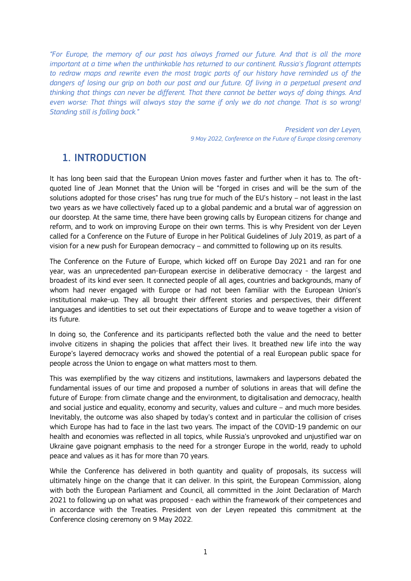*"For Europe, the memory of our past has always framed our future. And that is all the more important at a time when the unthinkable has returned to our continent. Russia's flagrant attempts to redraw maps and rewrite even the most tragic parts of our history have reminded us of the dangers of losing our grip on both our past and our future. Of living in a perpetual present and thinking that things can never be different. That there cannot be better ways of doing things. And even worse: That things will always stay the same if only we do not change. That is so wrong! Standing still is falling back."*

> *President von der Leyen, 9 May 2022, Conference on the Future of Europe closing ceremony*

## 1. INTRODUCTION

It has long been said that the European Union moves faster and further when it has to. The oftquoted line of Jean Monnet that the Union will be "forged in crises and will be the sum of the solutions adopted for those crises" has rung true for much of the EU's history – not least in the last two years as we have collectively faced up to a global pandemic and a brutal war of aggression on our doorstep. At the same time, there have been growing calls by European citizens for change and reform, and to work on improving Europe on their own terms. This is why President von der Leyen called for a Conference on the Future of Europe in her Political Guidelines of July 2019, as part of a vision for a new push for European democracy – and committed to following up on its results.

The Conference on the Future of Europe, which kicked off on Europe Day 2021 and ran for one year, was an unprecedented pan-European exercise in deliberative democracy - the largest and broadest of its kind ever seen. It connected people of all ages, countries and backgrounds, many of whom had never engaged with Europe or had not been familiar with the European Union's institutional make-up. They all brought their different stories and perspectives, their different languages and identities to set out their expectations of Europe and to weave together a vision of its future.

In doing so, the Conference and its participants reflected both the value and the need to better involve citizens in shaping the policies that affect their lives. It breathed new life into the way Europe's layered democracy works and showed the potential of a real European public space for people across the Union to engage on what matters most to them.

This was exemplified by the way citizens and institutions, lawmakers and laypersons debated the fundamental issues of our time and proposed a number of solutions in areas that will define the future of Europe: from climate change and the environment, to digitalisation and democracy, health and social justice and equality, economy and security, values and culture – and much more besides. Inevitably, the outcome was also shaped by today's context and in particular the collision of crises which Europe has had to face in the last two years. The impact of the COVID-19 pandemic on our health and economies was reflected in all topics, while Russia's unprovoked and unjustified war on Ukraine gave poignant emphasis to the need for a stronger Europe in the world, ready to uphold peace and values as it has for more than 70 years.

While the Conference has delivered in both quantity and quality of proposals, its success will ultimately hinge on the change that it can deliver. In this spirit, the European Commission, along with both the European Parliament and Council, all committed in the Joint Declaration of March 2021 to following up on what was proposed - each within the framework of their competences and in accordance with the Treaties. President von der Leyen repeated this commitment at the Conference closing ceremony on 9 May 2022.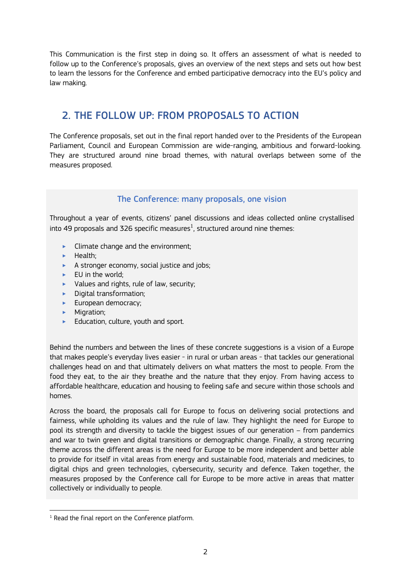This Communication is the first step in doing so. It offers an assessment of what is needed to follow up to the Conference's proposals, gives an overview of the next steps and sets out how best to learn the lessons for the Conference and embed participative democracy into the EU's policy and law making.

## 2. THE FOLLOW UP: FROM PROPOSALS TO ACTION

The Conference proposals, set out in the final report handed over to the Presidents of the European Parliament, Council and European Commission are wide-ranging, ambitious and forward-looking. They are structured around nine broad themes, with natural overlaps between some of the measures proposed.

#### The Conference: many proposals, one vision

Throughout a year of events, citizens' panel discussions and ideas collected online crystallised into 49 proposals and 326 specific measures $^{\rm l}$ , structured around nine themes:

- ‣ Climate change and the environment;
- $\blacktriangleright$  Health:
- $\blacktriangleright$  A stronger economy, social justice and jobs;
- EU in the world;
- $\blacktriangleright$  Values and rights, rule of law, security;
- ‣ Digital transformation;
- European democracy;
- Migration:
- ► Education, culture, youth and sport.

Behind the numbers and between the lines of these concrete suggestions is a vision of a Europe that makes people's everyday lives easier - in rural or urban areas - that tackles our generational challenges head on and that ultimately delivers on what matters the most to people. From the food they eat, to the air they breathe and the nature that they enjoy. From having access to affordable healthcare, education and housing to feeling safe and secure within those schools and homes.

Across the board, the proposals call for Europe to focus on delivering social protections and fairness, while upholding its values and the rule of law. They highlight the need for Europe to pool its strength and diversity to tackle the biggest issues of our generation – from pandemics and war to twin green and digital transitions or demographic change. Finally, a strong recurring theme across the different areas is the need for Europe to be more independent and better able to provide for itself in vital areas from energy and sustainable food, materials and medicines, to digital chips and green technologies, cybersecurity, security and defence. Taken together, the measures proposed by the Conference call for Europe to be more active in areas that matter collectively or individually to people.

-

<sup>&</sup>lt;sup>1</sup> Read the [final report](https://futureu.europa.eu/rails/active_storage/blobs/redirect/eyJfcmFpbHMiOnsibWVzc2FnZSI6IkJBaHBBeUl0QVE9PSIsImV4cCI6bnVsbCwicHVyIjoiYmxvYl9pZCJ9fQ==--899f1bfedf2d3fc6c36d4a9bc0dd42f54046562e/CoFE_Report_with_annexes_EN.pdf) on the Conference platform.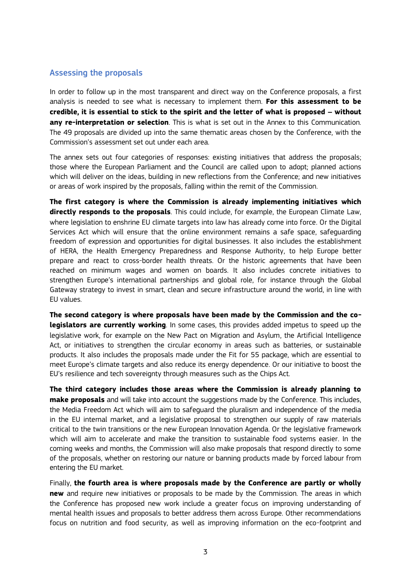#### Assessing the proposals

In order to follow up in the most transparent and direct way on the Conference proposals, a first analysis is needed to see what is necessary to implement them. **For this assessment to be credible, it is essential to stick to the spirit and the letter of what is proposed – without any re-interpretation or selection**. This is what is set out in the Annex to this Communication. The 49 proposals are divided up into the same thematic areas chosen by the Conference, with the Commission's assessment set out under each area.

The annex sets out four categories of responses: existing initiatives that address the proposals; those where the European Parliament and the Council are called upon to adopt; planned actions which will deliver on the ideas, building in new reflections from the Conference; and new initiatives or areas of work inspired by the proposals, falling within the remit of the Commission.

**The first category is where the Commission is already implementing initiatives which directly responds to the proposals**. This could include, for example, the European Climate Law, where legislation to enshrine EU climate targets into law has already come into force. Or the Digital Services Act which will ensure that the online environment remains a safe space, safeguarding freedom of expression and opportunities for digital businesses. It also includes the establishment of HERA, the Health Emergency Preparedness and Response Authority, to help Europe better prepare and react to cross-border health threats. Or the historic agreements that have been reached on minimum wages and women on boards. It also includes concrete initiatives to strengthen Europe's international partnerships and global role, for instance through the Global Gateway strategy to invest in smart, clean and secure infrastructure around the world, in line with EU values.

**The second category is where proposals have been made by the Commission and the colegislators are currently working**. In some cases, this provides added impetus to speed up the legislative work, for example on the New Pact on Migration and Asylum, the Artificial Intelligence Act, or initiatives to strengthen the circular economy in areas such as batteries, or sustainable products. It also includes the proposals made under the Fit for 55 package, which are essential to meet Europe's climate targets and also reduce its energy dependence. Or our initiative to boost the EU's resilience and tech sovereignty through measures such as the Chips Act.

**The third category includes those areas where the Commission is already planning to make proposals** and will take into account the suggestions made by the Conference. This includes, the Media Freedom Act which will aim to safeguard the pluralism and independence of the media in the EU internal market, and a legislative proposal to strengthen our supply of raw materials critical to the twin transitions or the new European Innovation Agenda. Or the legislative framework which will aim to accelerate and make the transition to sustainable food systems easier. In the coming weeks and months, the Commission will also make proposals that respond directly to some of the proposals, whether on restoring our nature or banning products made by forced labour from entering the EU market.

Finally, **the fourth area is where proposals made by the Conference are partly or wholly new** and require new initiatives or proposals to be made by the Commission. The areas in which the Conference has proposed new work include a greater focus on improving understanding of mental health issues and proposals to better address them across Europe. Other recommendations focus on nutrition and food security, as well as improving information on the eco-footprint and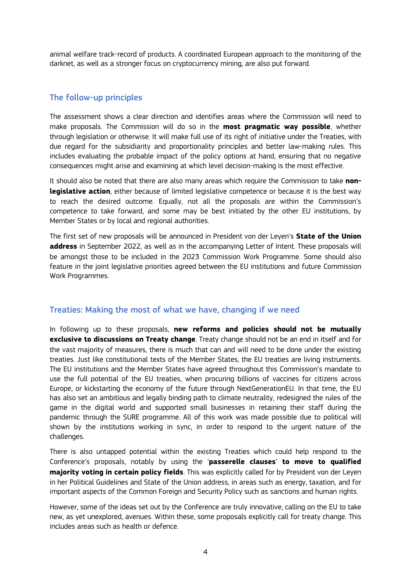animal welfare track-record of products. A coordinated European approach to the monitoring of the darknet, as well as a stronger focus on cryptocurrency mining, are also put forward.

#### The follow-up principles

The assessment shows a clear direction and identifies areas where the Commission will need to make proposals. The Commission will do so in the **most pragmatic way possible**, whether through legislation or otherwise. It will make full use of its right of initiative under the Treaties, with due regard for the subsidiarity and proportionality principles and better law-making rules. This includes evaluating the probable impact of the policy options at hand, ensuring that no negative consequences might arise and examining at which level decision-making is the most effective.

It should also be noted that there are also many areas which require the Commission to take **nonlegislative action**, either because of limited legislative competence or because it is the best way to reach the desired outcome. Equally, not all the proposals are within the Commission's competence to take forward, and some may be best initiated by the other EU institutions, by Member States or by local and regional authorities.

The first set of new proposals will be announced in President von der Leyen's **State of the Union address** in September 2022, as well as in the accompanying Letter of Intent. These proposals will be amongst those to be included in the 2023 Commission Work Programme. Some should also feature in the joint legislative priorities agreed between the EU institutions and future Commission Work Programmes.

#### Treaties: Making the most of what we have, changing if we need

In following up to these proposals, **new reforms and policies should not be mutually exclusive to discussions on Treaty change**. Treaty change should not be an end in itself and for the vast majority of measures, there is much that can and will need to be done under the existing treaties. Just like constitutional texts of the Member States, the EU treaties are living instruments. The EU institutions and the Member States have agreed throughout this Commission's mandate to use the full potential of the EU treaties, when procuring billions of vaccines for citizens across Europe, or kickstarting the economy of the future through NextGenerationEU. In that time, the EU has also set an ambitious and legally binding path to climate neutrality, redesigned the rules of the game in the digital world and supported small businesses in retaining their staff during the pandemic through the SURE programme. All of this work was made possible due to political will shown by the institutions working in sync, in order to respond to the urgent nature of the challenges.

There is also untapped potential within the existing Treaties which could help respond to the Conference's proposals, notably by using the '**passerelle clauses**' **to move to qualified majority voting in certain policy fields**. This was explicitly called for by President von der Leyen in her Political Guidelines and State of the Union address, in areas such as energy, taxation, and for important aspects of the Common Foreign and Security Policy such as sanctions and human rights.

However, some of the ideas set out by the Conference are truly innovative, calling on the EU to take new, as yet unexplored, avenues. Within these, some proposals explicitly call for treaty change. This includes areas such as health or defence.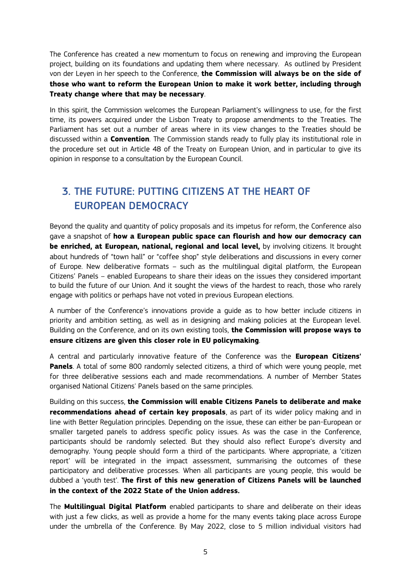The Conference has created a new momentum to focus on renewing and improving the European project, building on its foundations and updating them where necessary. As outlined by President von der Leyen in her speech to the Conference, **the Commission will always be on the side of those who want to reform the European Union to make it work better, including through Treaty change where that may be necessary**.

In this spirit, the Commission welcomes the European Parliament's willingness to use, for the first time, its powers acquired under the Lisbon Treaty to propose amendments to the Treaties. The Parliament has set out a number of areas where in its view changes to the Treaties should be discussed within a **Convention**. The Commission stands ready to fully play its institutional role in the procedure set out in Article 48 of the Treaty on European Union, and in particular to give its opinion in response to a consultation by the European Council.

# 3. THE FUTURE: PUTTING CITIZENS AT THE HEART OF EUROPEAN DEMOCRACY

Beyond the quality and quantity of policy proposals and its impetus for reform, the Conference also gave a snapshot of **how a European public space can flourish and how our democracy can be enriched, at European, national, regional and local level,** by involving citizens. It brought about hundreds of "town hall" or "coffee shop" style deliberations and discussions in every corner of Europe. New deliberative formats – such as the multilingual digital platform, the European Citizens' Panels – enabled Europeans to share their ideas on the issues they considered important to build the future of our Union. And it sought the views of the hardest to reach, those who rarely engage with politics or perhaps have not voted in previous European elections.

A number of the Conference's innovations provide a guide as to how better include citizens in priority and ambition setting, as well as in designing and making policies at the European level. Building on the Conference, and on its own existing tools, **the Commission will propose ways to ensure citizens are given this closer role in EU policymaking**.

A central and particularly innovative feature of the Conference was the **European Citizens' Panels**. A total of some 800 randomly selected citizens, a third of which were young people, met for three deliberative sessions each and made recommendations. A number of Member States organised National Citizens' Panels based on the same principles.

Building on this success, **the Commission will enable Citizens Panels to deliberate and make recommendations ahead of certain key proposals**, as part of its wider policy making and in line with Better Regulation principles. Depending on the issue, these can either be pan-European or smaller targeted panels to address specific policy issues. As was the case in the Conference, participants should be randomly selected. But they should also reflect Europe's diversity and demography. Young people should form a third of the participants. Where appropriate, a 'citizen report' will be integrated in the impact assessment, summarising the outcomes of these participatory and deliberative processes. When all participants are young people, this would be dubbed a 'youth test'. **The first of this new generation of Citizens Panels will be launched in the context of the 2022 State of the Union address.** 

The **Multilingual Digital Platform** enabled participants to share and deliberate on their ideas with just a few clicks, as well as provide a home for the many events taking place across Europe under the umbrella of the Conference. By May 2022, close to 5 million individual visitors had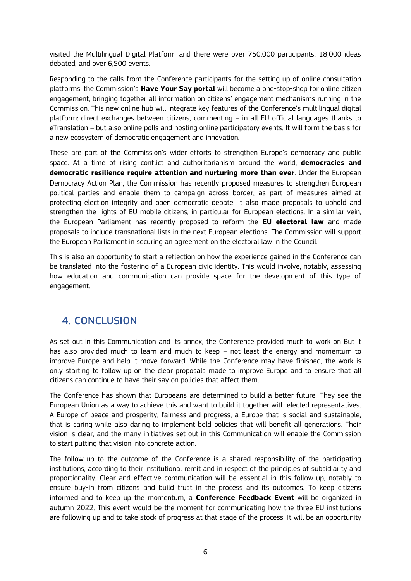visited the Multilingual Digital Platform and there were over 750,000 participants, 18,000 ideas debated, and over 6,500 events.

Responding to the calls from the Conference participants for the setting up of online consultation platforms, the Commission's **Have Your Say portal** will become a one-stop-shop for online citizen engagement, bringing together all information on citizens' engagement mechanisms running in the Commission. This new online hub will integrate key features of the Conference's multilingual digital platform: direct exchanges between citizens, commenting – in all EU official languages thanks to eTranslation – but also online polls and hosting online participatory events. It will form the basis for a new ecosystem of democratic engagement and innovation.

These are part of the Commission's wider efforts to strengthen Europe's democracy and public space. At a time of rising conflict and authoritarianism around the world, **democracies and democratic resilience require attention and nurturing more than ever**. Under the European Democracy Action Plan, the Commission has recently proposed measures to strengthen European political parties and enable them to campaign across border, as part of measures aimed at protecting election integrity and open democratic debate. It also made proposals to uphold and strengthen the rights of EU mobile citizens, in particular for European elections. In a similar vein, the European Parliament has recently proposed to reform the **EU electoral law** and made proposals to include transnational lists in the next European elections. The Commission will support the European Parliament in securing an agreement on the electoral law in the Council.

This is also an opportunity to start a reflection on how the experience gained in the Conference can be translated into the fostering of a European civic identity. This would involve, notably, assessing how education and communication can provide space for the development of this type of engagement.

## 4. CONCLUSION

As set out in this Communication and its annex, the Conference provided much to work on But it has also provided much to learn and much to keep – not least the energy and momentum to improve Europe and help it move forward. While the Conference may have finished, the work is only starting to follow up on the clear proposals made to improve Europe and to ensure that all citizens can continue to have their say on policies that affect them.

The Conference has shown that Europeans are determined to build a better future. They see the European Union as a way to achieve this and want to build it together with elected representatives. A Europe of peace and prosperity, fairness and progress, a Europe that is social and sustainable, that is caring while also daring to implement bold policies that will benefit all generations. Their vision is clear, and the many initiatives set out in this Communication will enable the Commission to start putting that vision into concrete action.

The follow-up to the outcome of the Conference is a shared responsibility of the participating institutions, according to their institutional remit and in respect of the principles of subsidiarity and proportionality. Clear and effective communication will be essential in this follow-up, notably to ensure buy-in from citizens and build trust in the process and its outcomes. To keep citizens informed and to keep up the momentum, a **Conference Feedback Event** will be organized in autumn 2022. This event would be the moment for communicating how the three EU institutions are following up and to take stock of progress at that stage of the process. It will be an opportunity